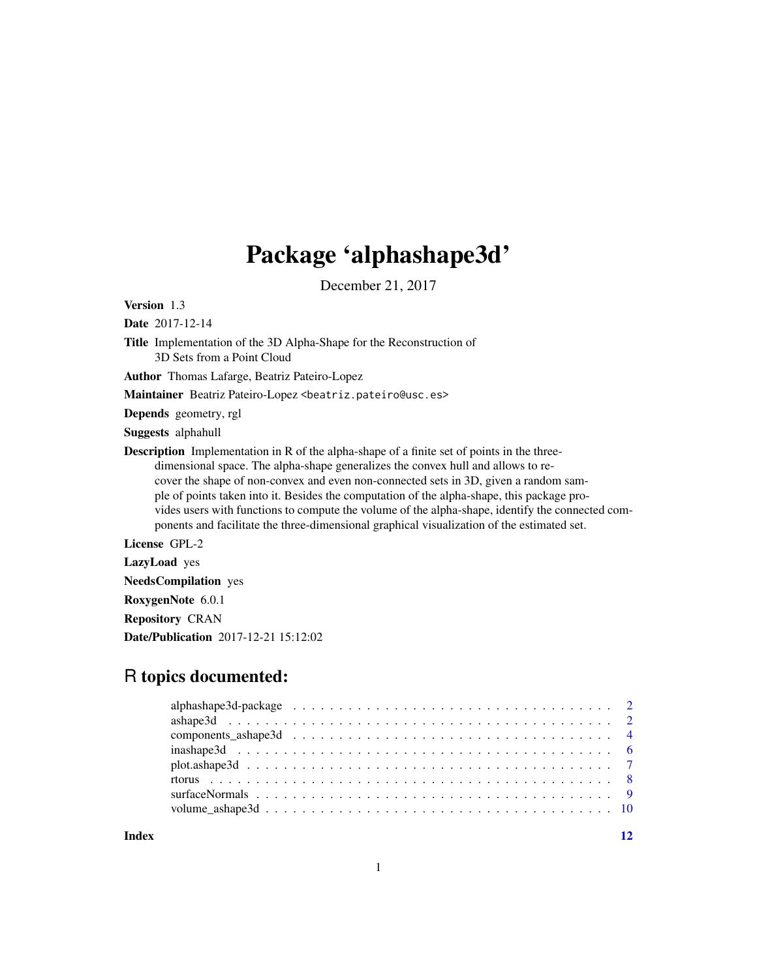## Package 'alphashape3d'

December 21, 2017

<span id="page-0-0"></span>Version 1.3

Date 2017-12-14

Title Implementation of the 3D Alpha-Shape for the Reconstruction of 3D Sets from a Point Cloud

Author Thomas Lafarge, Beatriz Pateiro-Lopez

Maintainer Beatriz Pateiro-Lopez <br/>beatriz.pateiro@usc.es>

Depends geometry, rgl

Suggests alphahull

Description Implementation in R of the alpha-shape of a finite set of points in the threedimensional space. The alpha-shape generalizes the convex hull and allows to recover the shape of non-convex and even non-connected sets in 3D, given a random sample of points taken into it. Besides the computation of the alpha-shape, this package provides users with functions to compute the volume of the alpha-shape, identify the connected components and facilitate the three-dimensional graphical visualization of the estimated set.

License GPL-2

LazyLoad yes

NeedsCompilation yes

RoxygenNote 6.0.1

Repository CRAN

Date/Publication 2017-12-21 15:12:02

### R topics documented:

#### **Index** [12](#page-11-0)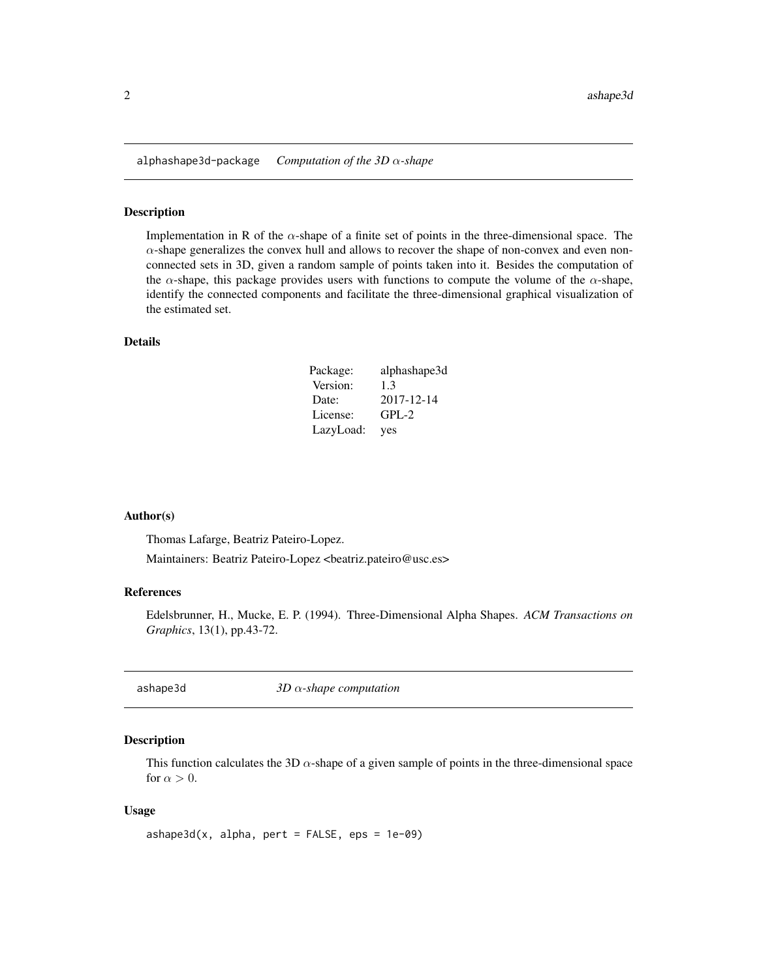<span id="page-1-0"></span>alphashape3d-package *Computation of the 3D* α*-shape*

#### Description

Implementation in R of the  $\alpha$ -shape of a finite set of points in the three-dimensional space. The  $\alpha$ -shape generalizes the convex hull and allows to recover the shape of non-convex and even nonconnected sets in 3D, given a random sample of points taken into it. Besides the computation of the  $\alpha$ -shape, this package provides users with functions to compute the volume of the  $\alpha$ -shape, identify the connected components and facilitate the three-dimensional graphical visualization of the estimated set.

#### Details

| Package:  | alphashape3d |
|-----------|--------------|
| Version:  | 1.3          |
| Date:     | 2017-12-14   |
| License:  | $GPL-2$      |
| LazyLoad: | yes          |

#### Author(s)

Thomas Lafarge, Beatriz Pateiro-Lopez.

Maintainers: Beatriz Pateiro-Lopez <br/>beatriz.pateiro@usc.es>

#### References

Edelsbrunner, H., Mucke, E. P. (1994). Three-Dimensional Alpha Shapes. *ACM Transactions on Graphics*, 13(1), pp.43-72.

<span id="page-1-1"></span>ashape3d *3D* α*-shape computation*

#### Description

This function calculates the 3D  $\alpha$ -shape of a given sample of points in the three-dimensional space for  $\alpha > 0$ .

#### Usage

```
ashape3d(x, alpha, pert = FALSE,eps = 1e-09)
```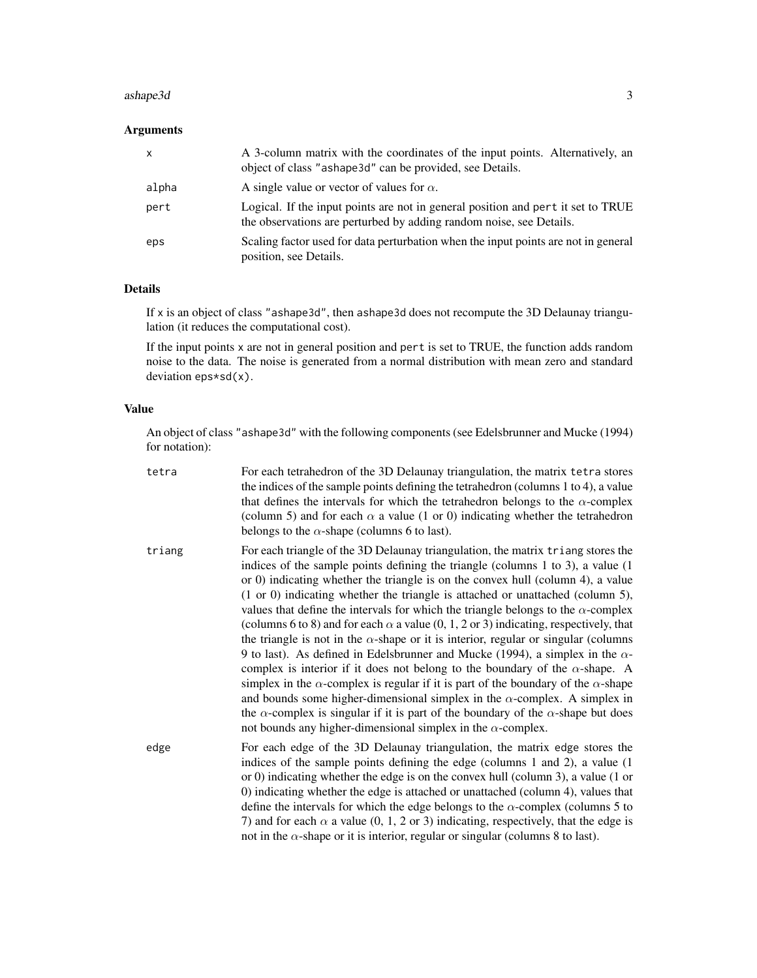#### ashape3d 3

#### Arguments

| x     | A 3-column matrix with the coordinates of the input points. Alternatively, an<br>object of class "ashape 3d" can be provided, see Details.              |
|-------|---------------------------------------------------------------------------------------------------------------------------------------------------------|
| alpha | A single value or vector of values for $\alpha$ .                                                                                                       |
| pert  | Logical. If the input points are not in general position and pert it set to TRUE<br>the observations are perturbed by adding random noise, see Details. |
| eps   | Scaling factor used for data perturbation when the input points are not in general<br>position, see Details.                                            |

#### Details

If x is an object of class "ashape3d", then ashape3d does not recompute the 3D Delaunay triangulation (it reduces the computational cost).

If the input points x are not in general position and pert is set to TRUE, the function adds random noise to the data. The noise is generated from a normal distribution with mean zero and standard deviation eps\*sd(x).

#### Value

An object of class "ashape3d" with the following components (see Edelsbrunner and Mucke (1994) for notation):

| tetra  | For each tetrahedron of the 3D Delaunay triangulation, the matrix tetra stores<br>the indices of the sample points defining the tetrahedron (columns 1 to 4), a value<br>that defines the intervals for which the tetrahedron belongs to the $\alpha$ -complex<br>(column 5) and for each $\alpha$ a value (1 or 0) indicating whether the tetrahedron<br>belongs to the $\alpha$ -shape (columns 6 to last).                                                                                                                                                                                                                                                                                                                                                                                                                                                                                                                                                                                                                                                                                                                                                                                   |
|--------|-------------------------------------------------------------------------------------------------------------------------------------------------------------------------------------------------------------------------------------------------------------------------------------------------------------------------------------------------------------------------------------------------------------------------------------------------------------------------------------------------------------------------------------------------------------------------------------------------------------------------------------------------------------------------------------------------------------------------------------------------------------------------------------------------------------------------------------------------------------------------------------------------------------------------------------------------------------------------------------------------------------------------------------------------------------------------------------------------------------------------------------------------------------------------------------------------|
| triang | For each triangle of the 3D Delaunay triangulation, the matrix triang stores the<br>indices of the sample points defining the triangle (columns 1 to 3), a value (1<br>or 0) indicating whether the triangle is on the convex hull (column 4), a value<br>$(1 \text{ or } 0)$ indicating whether the triangle is attached or unattached (column 5),<br>values that define the intervals for which the triangle belongs to the $\alpha$ -complex<br>(columns 6 to 8) and for each $\alpha$ a value (0, 1, 2 or 3) indicating, respectively, that<br>the triangle is not in the $\alpha$ -shape or it is interior, regular or singular (columns<br>9 to last). As defined in Edelsbrunner and Mucke (1994), a simplex in the $\alpha$ -<br>complex is interior if it does not belong to the boundary of the $\alpha$ -shape. A<br>simplex in the $\alpha$ -complex is regular if it is part of the boundary of the $\alpha$ -shape<br>and bounds some higher-dimensional simplex in the $\alpha$ -complex. A simplex in<br>the $\alpha$ -complex is singular if it is part of the boundary of the $\alpha$ -shape but does<br>not bounds any higher-dimensional simplex in the $\alpha$ -complex. |
| edge   | For each edge of the 3D Delaunay triangulation, the matrix edge stores the<br>indices of the sample points defining the edge (columns 1 and 2), a value (1)<br>or 0) indicating whether the edge is on the convex hull (column 3), a value (1 or<br>0) indicating whether the edge is attached or unattached (column 4), values that<br>define the intervals for which the edge belongs to the $\alpha$ -complex (columns 5 to<br>7) and for each $\alpha$ a value (0, 1, 2 or 3) indicating, respectively, that the edge is<br>not in the $\alpha$ -shape or it is interior, regular or singular (columns 8 to last).                                                                                                                                                                                                                                                                                                                                                                                                                                                                                                                                                                          |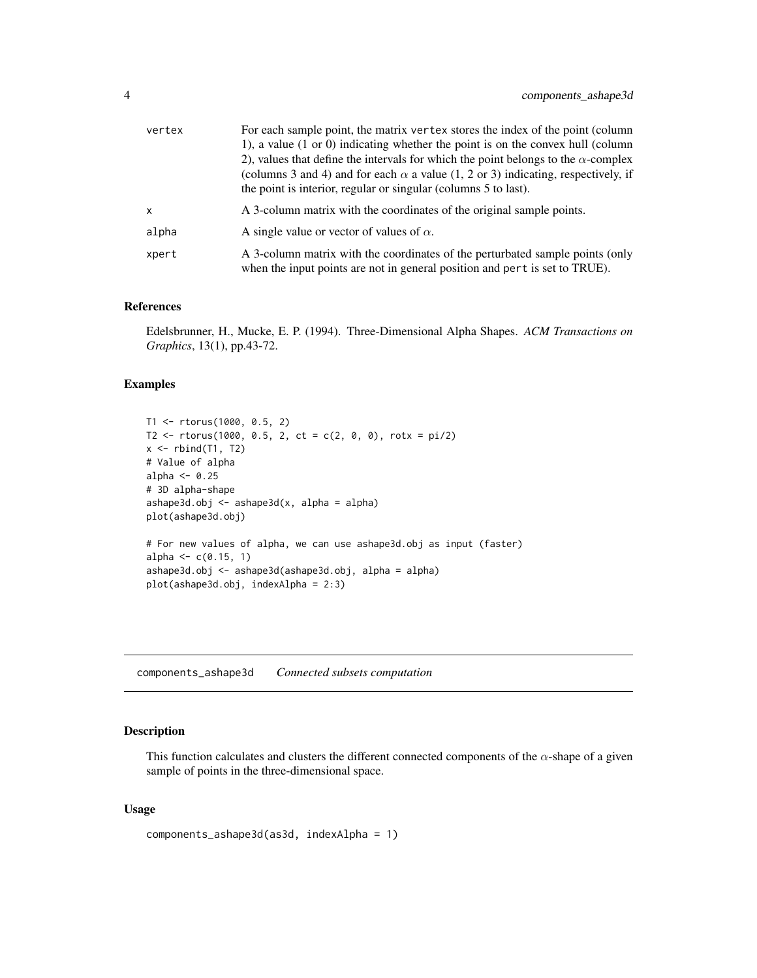<span id="page-3-0"></span>

| vertex       | For each sample point, the matrix vertex stores the index of the point (column<br>1), a value (1 or 0) indicating whether the point is on the convex hull (column<br>2), values that define the intervals for which the point belongs to the $\alpha$ -complex |
|--------------|----------------------------------------------------------------------------------------------------------------------------------------------------------------------------------------------------------------------------------------------------------------|
|              | (columns 3 and 4) and for each $\alpha$ a value (1, 2 or 3) indicating, respectively, if<br>the point is interior, regular or singular (columns 5 to last).                                                                                                    |
| $\mathsf{x}$ | A 3-column matrix with the coordinates of the original sample points.                                                                                                                                                                                          |
| alpha        | A single value or vector of values of $\alpha$ .                                                                                                                                                                                                               |
| xpert        | A 3-column matrix with the coordinates of the perturbated sample points (only<br>when the input points are not in general position and pert is set to TRUE).                                                                                                   |

#### References

Edelsbrunner, H., Mucke, E. P. (1994). Three-Dimensional Alpha Shapes. *ACM Transactions on Graphics*, 13(1), pp.43-72.

#### Examples

```
T1 <- rtorus(1000, 0.5, 2)
T2 \le rtorus(1000, 0.5, 2, ct = c(2, 0, 0), rotx = pi/2)
x \leftarrow \text{rbind(T1, T2)}# Value of alpha
alpha <- 0.25
# 3D alpha-shape
ashape3d.obj <- ashape3d(x, alpha = alpha)
plot(ashape3d.obj)
# For new values of alpha, we can use ashape3d.obj as input (faster)
alpha \leq -c(0.15, 1)ashape3d.obj <- ashape3d(ashape3d.obj, alpha = alpha)
plot(ashape3d.obj, indexAlpha = 2:3)
```
<span id="page-3-1"></span>components\_ashape3d *Connected subsets computation*

#### Description

This function calculates and clusters the different connected components of the  $\alpha$ -shape of a given sample of points in the three-dimensional space.

#### Usage

```
components_ashape3d(as3d, indexAlpha = 1)
```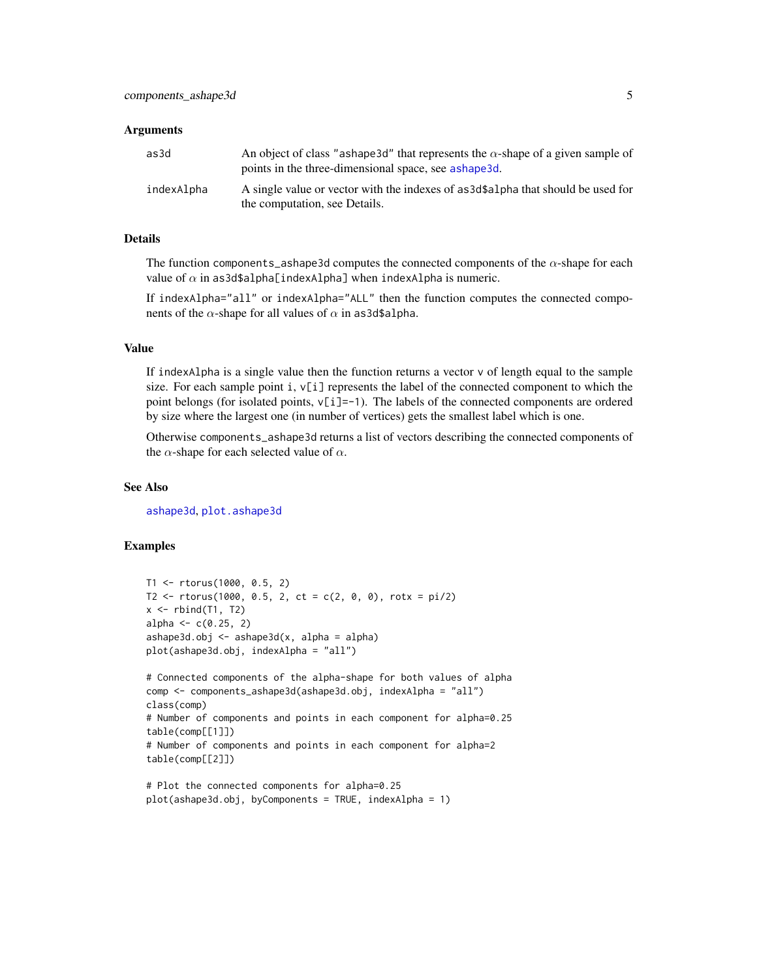#### <span id="page-4-0"></span>**Arguments**

| as3d       | An object of class "ashape 3d" that represents the $\alpha$ -shape of a given sample of<br>points in the three-dimensional space, see ashape 3d. |
|------------|--------------------------------------------------------------------------------------------------------------------------------------------------|
| indexAlpha | A single value or vector with the indexes of as 3d\$a1pha that should be used for<br>the computation, see Details.                               |

#### Details

The function components\_ashape3d computes the connected components of the  $\alpha$ -shape for each value of  $\alpha$  in as3d\$alpha[indexAlpha] when indexAlpha is numeric.

If indexAlpha="all" or indexAlpha="ALL" then the function computes the connected components of the  $\alpha$ -shape for all values of  $\alpha$  in as3d\$alpha.

#### Value

If indexAlpha is a single value then the function returns a vector  $\nu$  of length equal to the sample size. For each sample point  $i, v[i]$  represents the label of the connected component to which the point belongs (for isolated points,  $v[i]=1$ ). The labels of the connected components are ordered by size where the largest one (in number of vertices) gets the smallest label which is one.

Otherwise components\_ashape3d returns a list of vectors describing the connected components of the  $\alpha$ -shape for each selected value of  $\alpha$ .

#### See Also

[ashape3d](#page-1-1), [plot.ashape3d](#page-6-1)

#### Examples

```
T1 <- rtorus(1000, 0.5, 2)
T2 \le rtorus(1000, 0.5, 2, ct = c(2, 0, 0), rotx = pi/2)
x \leftarrow \text{rbind(T1, T2)}alpha <- c(0.25, 2)ashape3d.obj <- ashape3d(x, alpha = alpha)
plot(ashape3d.obj, indexAlpha = "all")
# Connected components of the alpha-shape for both values of alpha
comp <- components_ashape3d(ashape3d.obj, indexAlpha = "all")
class(comp)
# Number of components and points in each component for alpha=0.25
table(comp[[1]])
# Number of components and points in each component for alpha=2
table(comp[[2]])
# Plot the connected components for alpha=0.25
```

```
plot(ashape3d.obj, byComponents = TRUE, indexAlpha = 1)
```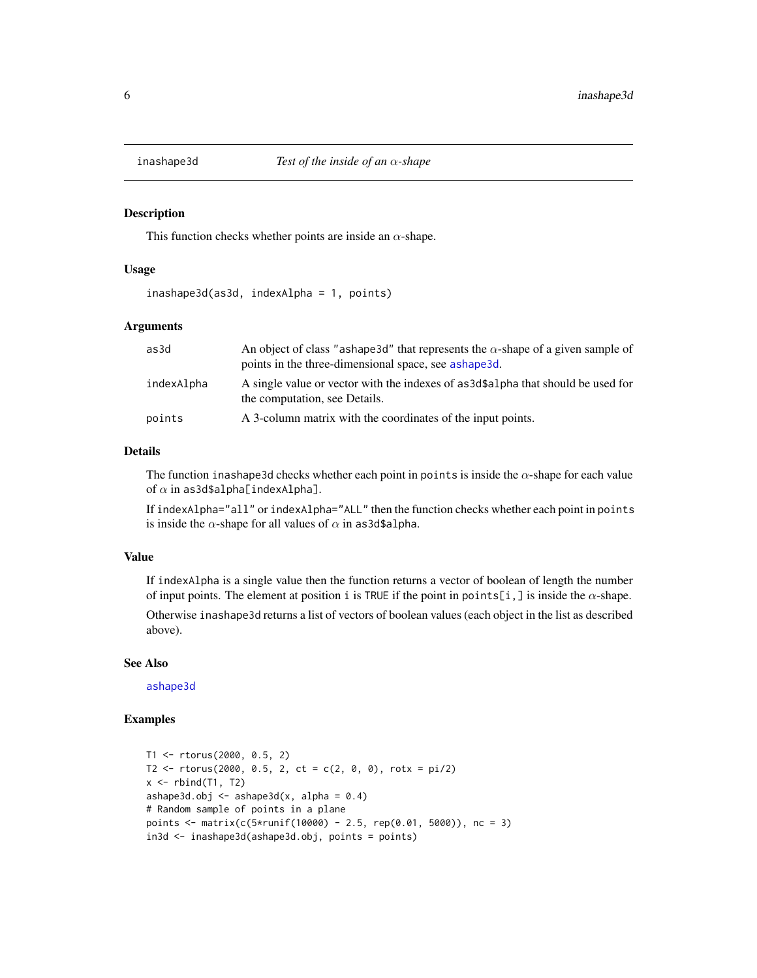<span id="page-5-0"></span>

#### Description

This function checks whether points are inside an  $\alpha$ -shape.

#### Usage

inashape3d(as3d, indexAlpha = 1, points)

#### Arguments

| as3d       | An object of class "ashape 3d" that represents the $\alpha$ -shape of a given sample of<br>points in the three-dimensional space, see ashape3d. |
|------------|-------------------------------------------------------------------------------------------------------------------------------------------------|
| indexAlpha | A single value or vector with the indexes of as 3d\$alpha that should be used for<br>the computation, see Details.                              |
| points     | A 3-column matrix with the coordinates of the input points.                                                                                     |

#### Details

The function inashape3d checks whether each point in points is inside the  $\alpha$ -shape for each value of  $\alpha$  in as3d\$alpha[indexAlpha].

If indexAlpha="all" or indexAlpha="ALL" then the function checks whether each point in points is inside the  $\alpha$ -shape for all values of  $\alpha$  in as3d\$alpha.

#### Value

If indexAlpha is a single value then the function returns a vector of boolean of length the number of input points. The element at position i is TRUE if the point in points[i,] is inside the  $\alpha$ -shape. Otherwise inashape3d returns a list of vectors of boolean values (each object in the list as described above).

#### See Also

[ashape3d](#page-1-1)

#### Examples

```
T1 <- rtorus(2000, 0.5, 2)
T2 \le rtorus(2000, 0.5, 2, ct = c(2, 0, 0), rotx = pi/2)
x \leftarrow \text{rbind}(T1, T2)ashape3d.obj \leq ashape3d(x, alpha = 0.4)
# Random sample of points in a plane
points <- matrix(c(5*runif(10000) - 2.5, rep(0.01, 5000)), nc = 3)
in3d <- inashape3d(ashape3d.obj, points = points)
```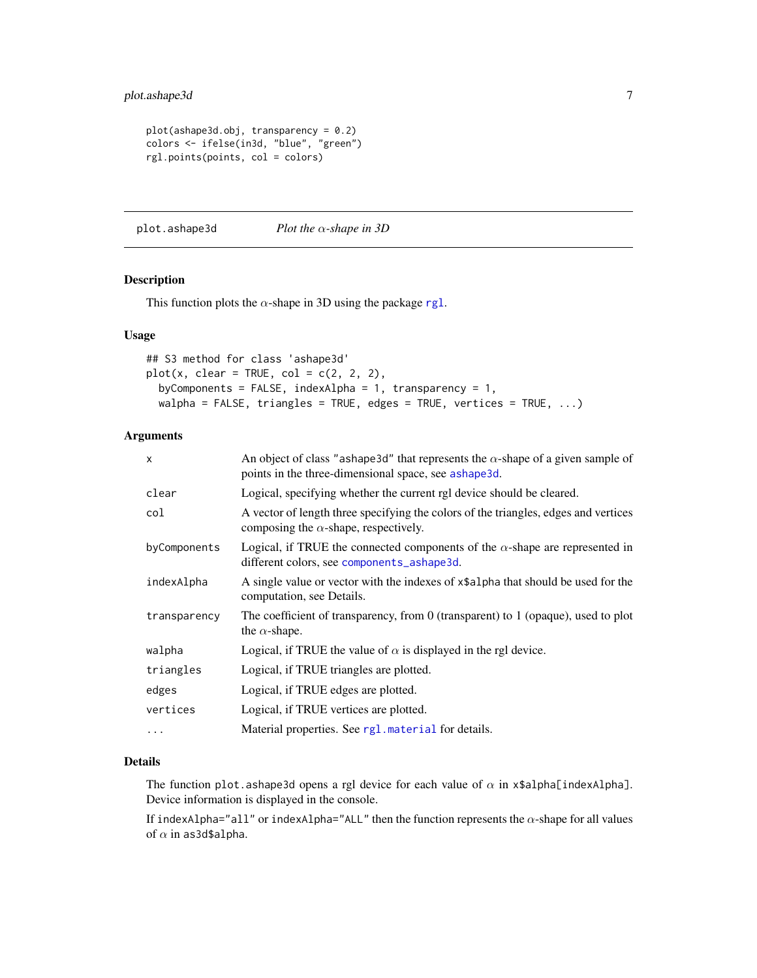```
plot(ashape3d.obj, transparency = 0.2)colors <- ifelse(in3d, "blue", "green")
rgl.points(points, col = colors)
```
<span id="page-6-1"></span>plot.ashape3d *Plot the* α*-shape in 3D*

#### Description

This function plots the  $\alpha$ -shape in 3D using the package [rgl](#page-0-0).

#### Usage

```
## S3 method for class 'ashape3d'
plot(x, clear = TRUE, col = c(2, 2, 2),byComponents = FALSE, indexAlpha = 1, transparency = 1,
  walpha = FALSE, triangles = TRUE, edges = TRUE, vertices = TRUE, \ldots)
```
#### Arguments

| X            | An object of class "ashape 3d" that represents the $\alpha$ -shape of a given sample of<br>points in the three-dimensional space, see ashape3d. |
|--------------|-------------------------------------------------------------------------------------------------------------------------------------------------|
| clear        | Logical, specifying whether the current rgl device should be cleared.                                                                           |
| col          | A vector of length three specifying the colors of the triangles, edges and vertices<br>composing the $\alpha$ -shape, respectively.             |
| byComponents | Logical, if TRUE the connected components of the $\alpha$ -shape are represented in<br>different colors, see components_ashape3d.               |
| indexAlpha   | A single value or vector with the indexes of x\$alpha that should be used for the<br>computation, see Details.                                  |
| transparency | The coefficient of transparency, from $0$ (transparent) to $1$ (opaque), used to plot<br>the $\alpha$ -shape.                                   |
| walpha       | Logical, if TRUE the value of $\alpha$ is displayed in the rgl device.                                                                          |
| triangles    | Logical, if TRUE triangles are plotted.                                                                                                         |
| edges        | Logical, if TRUE edges are plotted.                                                                                                             |
| vertices     | Logical, if TRUE vertices are plotted.                                                                                                          |
| $\ddotsc$    | Material properties. See rg1. material for details.                                                                                             |

#### Details

The function plot.ashape3d opens a rgl device for each value of  $\alpha$  in x\$alpha[indexAlpha]. Device information is displayed in the console.

If indexAlpha="all" or indexAlpha="ALL" then the function represents the  $\alpha$ -shape for all values of  $\alpha$  in as3d\$alpha.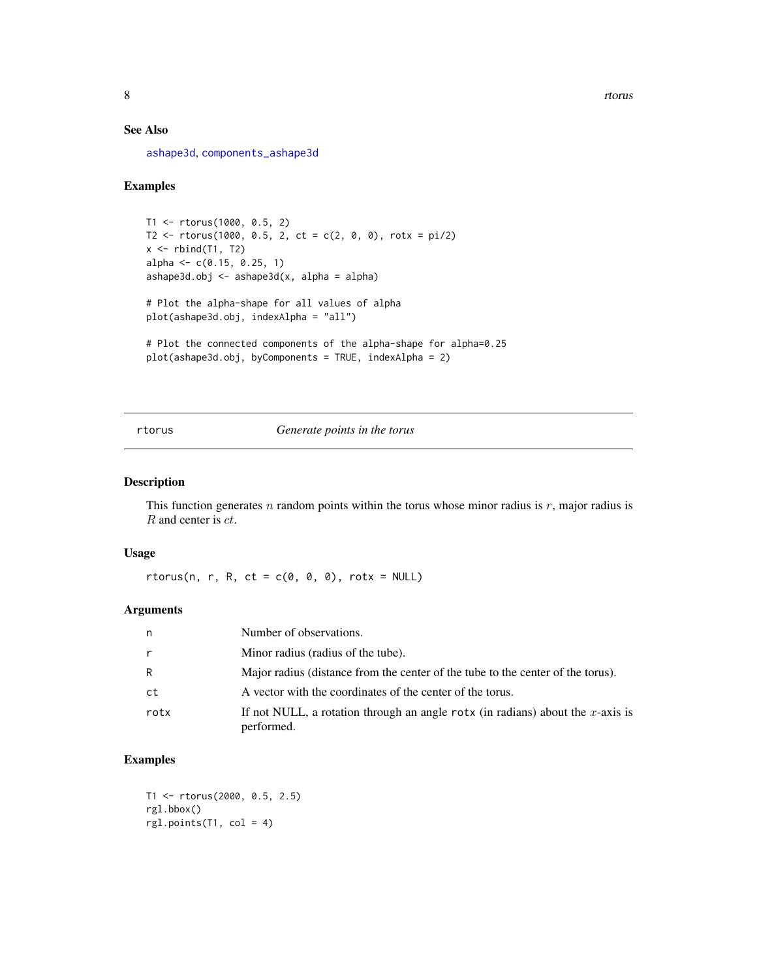#### <span id="page-7-0"></span>See Also

[ashape3d](#page-1-1), [components\\_ashape3d](#page-3-1)

#### Examples

```
T1 <- rtorus(1000, 0.5, 2)
T2 \le rtorus(1000, 0.5, 2, ct = c(2, 0, 0), rotx = pi/2)
x \leftarrow \text{rbind(T1, T2)}alpha <- c(0.15, 0.25, 1)
ashape3d.obj <- ashape3d(x, alpha = alpha)
# Plot the alpha-shape for all values of alpha
plot(ashape3d.obj, indexAlpha = "all")
# Plot the connected components of the alpha-shape for alpha=0.25
plot(ashape3d.obj, byComponents = TRUE, indexAlpha = 2)
```
rtorus *Generate points in the torus*

#### Description

This function generates  $n$  random points within the torus whose minor radius is  $r$ , major radius is R and center is ct.

#### Usage

 $rtorus(n, r, R, ct = c(0, 0, 0), rotx = NULL)$ 

#### Arguments

| n            | Number of observations.                                                                      |
|--------------|----------------------------------------------------------------------------------------------|
| $\mathsf{r}$ | Minor radius (radius of the tube).                                                           |
| R            | Major radius (distance from the center of the tube to the center of the torus).              |
| ct           | A vector with the coordinates of the center of the torus.                                    |
| rotx         | If not NULL, a rotation through an angle rotx (in radians) about the x-axis is<br>performed. |

#### Examples

```
T1 <- rtorus(2000, 0.5, 2.5)
rgl.bbox()
rgl.points(T1, col = 4)
```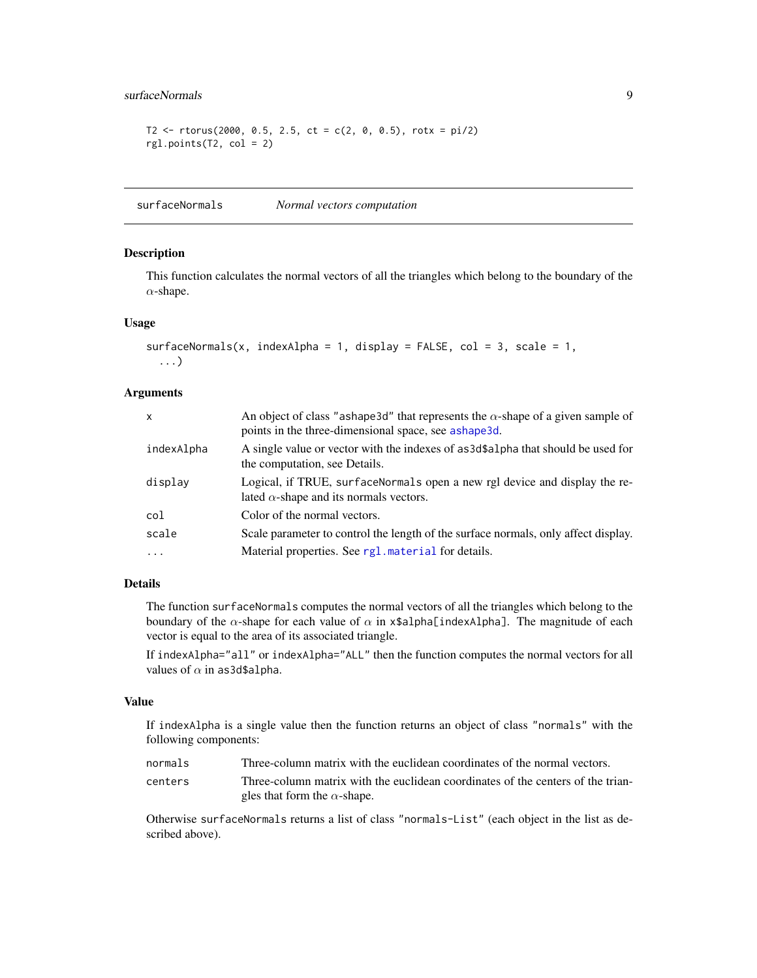#### <span id="page-8-0"></span>surfaceNormals 9

```
T2 <- rtorus(2000, 0.5, 2.5, ct = c(2, 0, 0.5), rotx = pi/2)
rgl.points(T2, col = 2)
```
surfaceNormals *Normal vectors computation*

#### Description

This function calculates the normal vectors of all the triangles which belong to the boundary of the  $\alpha$ -shape.

#### Usage

```
surfaceNormals(x, indexAlpha = 1, display = False = False, col = 3, scale = 1,...)
```
#### Arguments

| x          | An object of class "ashape 3d" that represents the $\alpha$ -shape of a given sample of<br>points in the three-dimensional space, see ashape3d. |
|------------|-------------------------------------------------------------------------------------------------------------------------------------------------|
| indexAlpha | A single value or vector with the indexes of as3d\$a1pha that should be used for<br>the computation, see Details.                               |
| display    | Logical, if TRUE, surfaceNormals open a new rgl device and display the re-<br>lated $\alpha$ -shape and its normals vectors.                    |
| col        | Color of the normal vectors.                                                                                                                    |
| scale      | Scale parameter to control the length of the surface normals, only affect display.                                                              |
| $\cdots$   | Material properties. See rg1. material for details.                                                                                             |

#### Details

The function surfaceNormals computes the normal vectors of all the triangles which belong to the boundary of the  $\alpha$ -shape for each value of  $\alpha$  in x\$alpha[indexAlpha]. The magnitude of each vector is equal to the area of its associated triangle.

If indexAlpha="all" or indexAlpha="ALL" then the function computes the normal vectors for all values of  $\alpha$  in as3d\$alpha.

#### Value

If indexAlpha is a single value then the function returns an object of class "normals" with the following components:

| normals | Three-column matrix with the euclidean coordinates of the normal vectors.       |
|---------|---------------------------------------------------------------------------------|
| centers | Three-column matrix with the euclidean coordinates of the centers of the trian- |
|         | gles that form the $\alpha$ -shape.                                             |

Otherwise surfaceNormals returns a list of class "normals-List" (each object in the list as described above).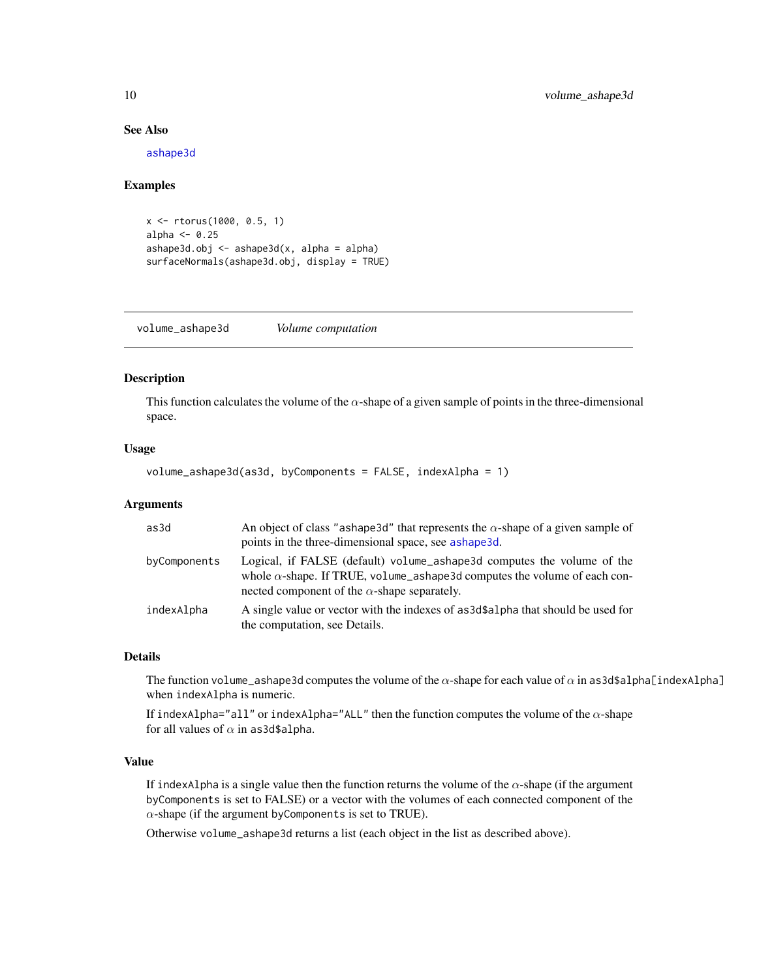#### See Also

[ashape3d](#page-1-1)

#### Examples

```
x <- rtorus(1000, 0.5, 1)
alpha <- 0.25
ashape3d.obj <- ashape3d(x, alpha = alpha)
surfaceNormals(ashape3d.obj, display = TRUE)
```
volume\_ashape3d *Volume computation*

#### Description

This function calculates the volume of the  $\alpha$ -shape of a given sample of points in the three-dimensional space.

#### Usage

```
volume_ashape3d(as3d, byComponents = FALSE, indexAlpha = 1)
```
#### Arguments

| as3d         | An object of class "ashape 3d" that represents the $\alpha$ -shape of a given sample of<br>points in the three-dimensional space, see ashape3d.                                                                   |
|--------------|-------------------------------------------------------------------------------------------------------------------------------------------------------------------------------------------------------------------|
| byComponents | Logical, if FALSE (default) volume_ashape3d computes the volume of the<br>whole $\alpha$ -shape. If TRUE, volume_ashape3d computes the volume of each con-<br>nected component of the $\alpha$ -shape separately. |
| indexAlpha   | A single value or vector with the indexes of as3d\$a1pha that should be used for<br>the computation, see Details.                                                                                                 |

#### Details

The function volume\_ashape3d computes the volume of the  $\alpha$ -shape for each value of  $\alpha$  in as3d\$alpha[indexAlpha] when indexAlpha is numeric.

If indexAlpha="all" or indexAlpha="ALL" then the function computes the volume of the  $\alpha$ -shape for all values of  $\alpha$  in as3d\$alpha.

#### Value

If indexAlpha is a single value then the function returns the volume of the  $\alpha$ -shape (if the argument byComponents is set to FALSE) or a vector with the volumes of each connected component of the  $\alpha$ -shape (if the argument by Components is set to TRUE).

Otherwise volume\_ashape3d returns a list (each object in the list as described above).

<span id="page-9-0"></span>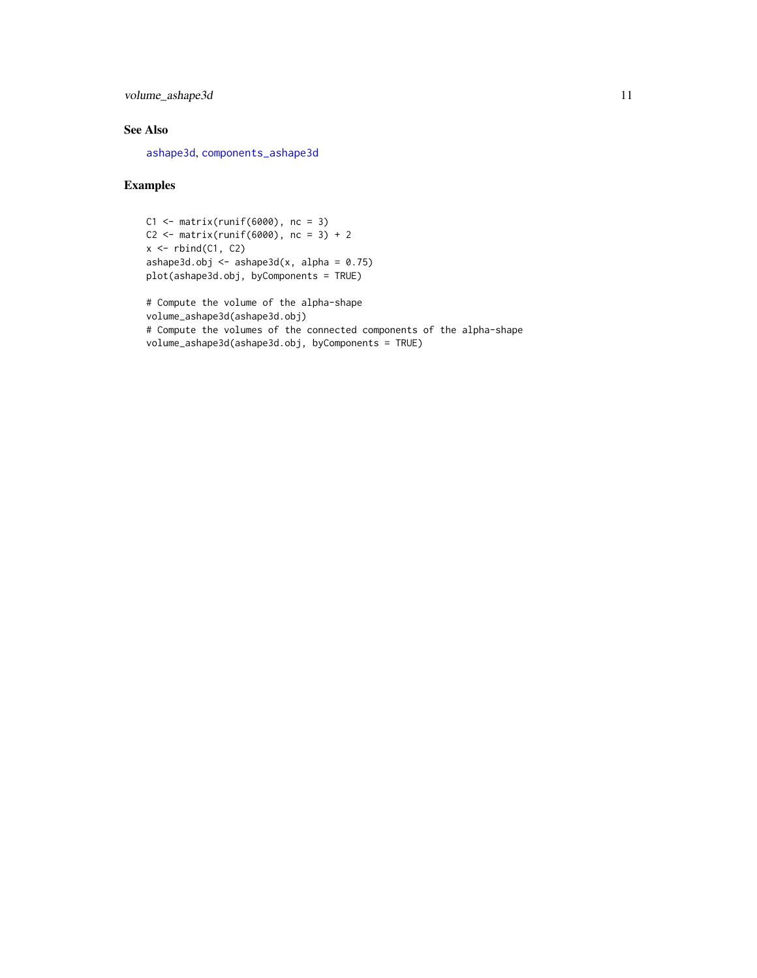<span id="page-10-0"></span>volume\_ashape3d 11

#### See Also

[ashape3d](#page-1-1), [components\\_ashape3d](#page-3-1)

#### Examples

```
C1 \leq - matrix(runif(6000), nc = 3)
C2 \le - matrix(runif(6000), nc = 3) + 2
x \leftarrow \text{rbind}(C1, C2)ashape3d.obj <- ashape3d(x, alpha = 0.75)
plot(ashape3d.obj, byComponents = TRUE)
```
# Compute the volume of the alpha-shape volume\_ashape3d(ashape3d.obj) # Compute the volumes of the connected components of the alpha-shape volume\_ashape3d(ashape3d.obj, byComponents = TRUE)